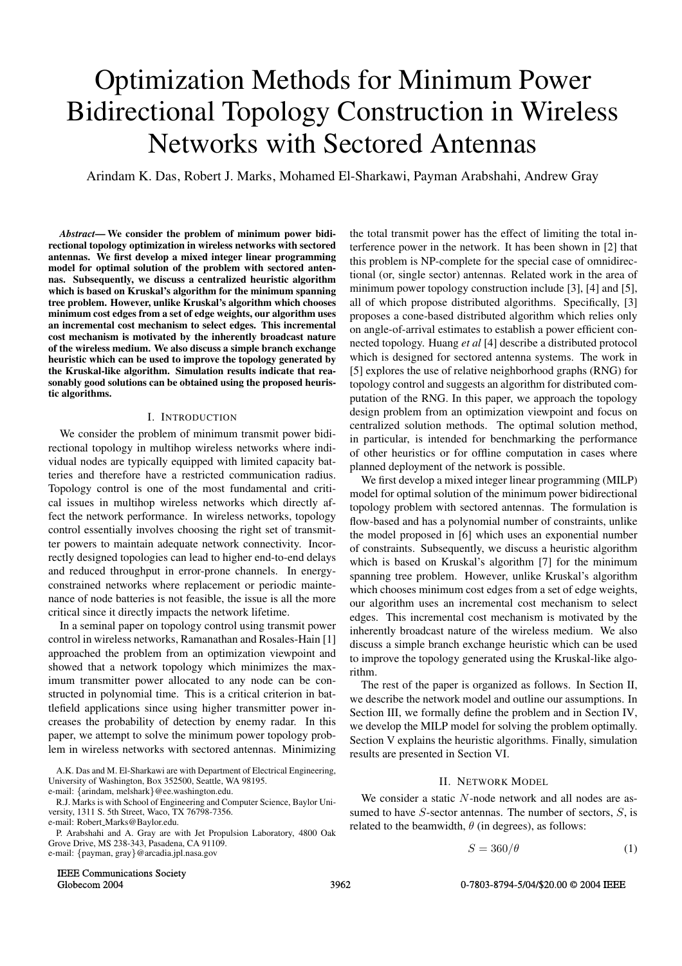# Optimization Methods for Minimum Power Bidirectional Topology Construction in Wireless Networks with Sectored Antennas

Arindam K. Das, Robert J. Marks, Mohamed El-Sharkawi, Payman Arabshahi, Andrew Gray

*Abstract***— We consider the problem of minimum power bidirectional topology optimization in wireless networks with sectored antennas. We first develop a mixed integer linear programming model for optimal solution of the problem with sectored antennas. Subsequently, we discuss a centralized heuristic algorithm which is based on Kruskal's algorithm for the minimum spanning tree problem. However, unlike Kruskal's algorithm which chooses minimum cost edges from a set of edge weights, our algorithm uses an incremental cost mechanism to select edges. This incremental cost mechanism is motivated by the inherently broadcast nature of the wireless medium. We also discuss a simple branch exchange heuristic which can be used to improve the topology generated by the Kruskal-like algorithm. Simulation results indicate that reasonably good solutions can be obtained using the proposed heuristic algorithms.**

## I. INTRODUCTION

We consider the problem of minimum transmit power bidirectional topology in multihop wireless networks where individual nodes are typically equipped with limited capacity batteries and therefore have a restricted communication radius. Topology control is one of the most fundamental and critical issues in multihop wireless networks which directly affect the network performance. In wireless networks, topology control essentially involves choosing the right set of transmitter powers to maintain adequate network connectivity. Incorrectly designed topologies can lead to higher end-to-end delays and reduced throughput in error-prone channels. In energyconstrained networks where replacement or periodic maintenance of node batteries is not feasible, the issue is all the more critical since it directly impacts the network lifetime.

In a seminal paper on topology control using transmit power control in wireless networks, Ramanathan and Rosales-Hain [1] approached the problem from an optimization viewpoint and showed that a network topology which minimizes the maximum transmitter power allocated to any node can be constructed in polynomial time. This is a critical criterion in battlefield applications since using higher transmitter power increases the probability of detection by enemy radar. In this paper, we attempt to solve the minimum power topology problem in wireless networks with sectored antennas. Minimizing

A.K. Das and M. El-Sharkawi are with Department of Electrical Engineering, University of Washington, Box 352500, Seattle, WA 98195.

P. Arabshahi and A. Gray are with Jet Propulsion Laboratory, 4800 Oak Grove Drive, MS 238-343, Pasadena, CA 91109. e-mail: {payman, gray}@arcadia.jpl.nasa.gov

the total transmit power has the effect of limiting the total interference power in the network. It has been shown in [2] that this problem is NP-complete for the special case of omnidirectional (or, single sector) antennas. Related work in the area of minimum power topology construction include [3], [4] and [5], all of which propose distributed algorithms. Specifically, [3] proposes a cone-based distributed algorithm which relies only on angle-of-arrival estimates to establish a power efficient connected topology. Huang *et al* [4] describe a distributed protocol which is designed for sectored antenna systems. The work in [5] explores the use of relative neighborhood graphs (RNG) for topology control and suggests an algorithm for distributed computation of the RNG. In this paper, we approach the topology design problem from an optimization viewpoint and focus on centralized solution methods. The optimal solution method, in particular, is intended for benchmarking the performance of other heuristics or for offline computation in cases where planned deployment of the network is possible.

We first develop a mixed integer linear programming (MILP) model for optimal solution of the minimum power bidirectional topology problem with sectored antennas. The formulation is flow-based and has a polynomial number of constraints, unlike the model proposed in [6] which uses an exponential number of constraints. Subsequently, we discuss a heuristic algorithm which is based on Kruskal's algorithm [7] for the minimum spanning tree problem. However, unlike Kruskal's algorithm which chooses minimum cost edges from a set of edge weights, our algorithm uses an incremental cost mechanism to select edges. This incremental cost mechanism is motivated by the inherently broadcast nature of the wireless medium. We also discuss a simple branch exchange heuristic which can be used to improve the topology generated using the Kruskal-like algorithm.

The rest of the paper is organized as follows. In Section II, we describe the network model and outline our assumptions. In Section III, we formally define the problem and in Section IV, we develop the MILP model for solving the problem optimally. Section V explains the heuristic algorithms. Finally, simulation results are presented in Section VI.

### II. NETWORK MODEL

We consider a static N-node network and all nodes are assumed to have  $S$ -sector antennas. The number of sectors,  $S$ , is related to the beamwidth,  $\theta$  (in degrees), as follows:

$$
S = 360/\theta \tag{1}
$$

e-mail: {arindam, melshark}@ee.washington.edu.

R.J. Marks is with School of Engineering and Computer Science, Baylor University, 1311 S. 5th Street, Waco, TX 76798-7356. e-mail: Robert Marks@Baylor.edu.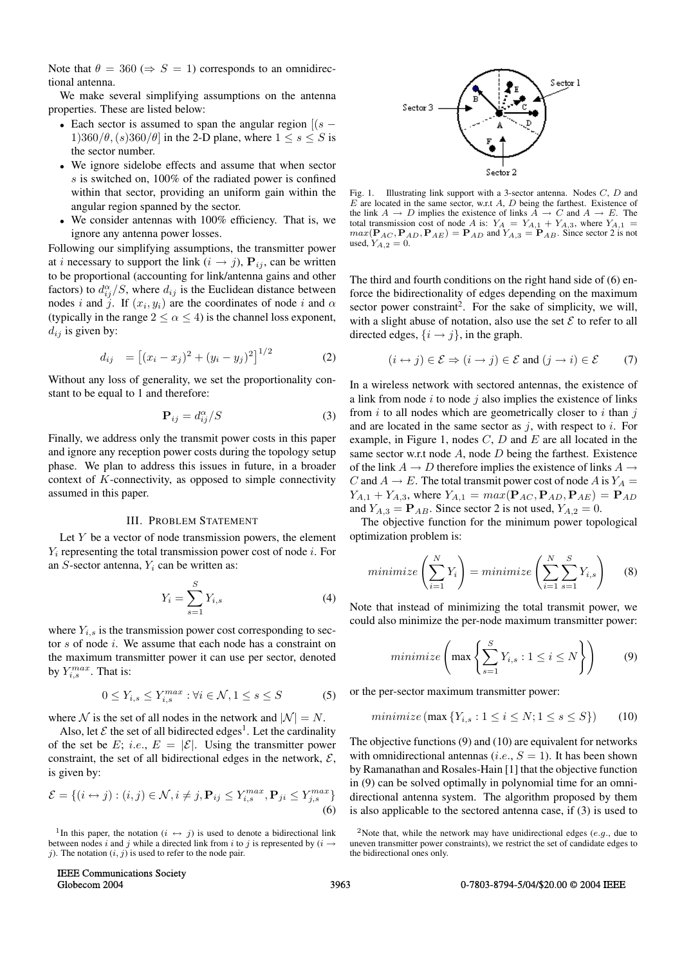Note that  $\theta = 360 \implies S = 1$  corresponds to an omnidirectional antenna.

We make several simplifying assumptions on the antenna properties. These are listed below:

- Each sector is assumed to span the angular region  $[(s 1)360/\theta$ ,  $(s)360/\theta$  in the 2-D plane, where  $1 \leq s \leq S$  is the sector number.
- We ignore sidelobe effects and assume that when sector s is switched on, 100% of the radiated power is confined within that sector, providing an uniform gain within the angular region spanned by the sector.
- We consider antennas with 100% efficiency. That is, we ignore any antenna power losses.

Following our simplifying assumptions, the transmitter power at *i* necessary to support the link  $(i \rightarrow j)$ ,  $P_{ij}$ , can be written to be proportional (accounting for link/antenna gains and other factors) to  $d_{ij}^{\alpha}/S$ , where  $d_{ij}$  is the Euclidean distance between nodes i and j. If  $(x_i, y_i)$  are the coordinates of node i and  $\alpha$ (typically in the range  $2 \le \alpha \le 4$ ) is the channel loss exponent,  $d_{ij}$  is given by:

$$
d_{ij} = [(x_i - x_j)^2 + (y_i - y_j)^2]^{1/2}
$$
 (2)

Without any loss of generality, we set the proportionality constant to be equal to 1 and therefore:

$$
\mathbf{P}_{ij} = d_{ij}^{\alpha} / S \tag{3}
$$

Finally, we address only the transmit power costs in this paper and ignore any reception power costs during the topology setup phase. We plan to address this issues in future, in a broader context of  $K$ -connectivity, as opposed to simple connectivity assumed in this paper.

## III. PROBLEM STATEMENT

Let  $Y$  be a vector of node transmission powers, the element  $Y_i$  representing the total transmission power cost of node i. For an  $S$ -sector antenna,  $Y_i$  can be written as:

$$
Y_i = \sum_{s=1}^{S} Y_{i,s} \tag{4}
$$

where  $Y_{i,s}$  is the transmission power cost corresponding to sector s of node i. We assume that each node has a constraint on the maximum transmitter power it can use per sector, denoted by  $Y_{i,s}^{max}$ . That is:

$$
0 \le Y_{i,s} \le Y_{i,s}^{max} : \forall i \in \mathcal{N}, 1 \le s \le S \tag{5}
$$

where N is the set of all nodes in the network and  $|N| = N$ .

Also, let  $\mathcal E$  the set of all bidirected edges<sup>1</sup>. Let the cardinality of the set be E; i.e.,  $E = |\mathcal{E}|$ . Using the transmitter power constraint, the set of all bidirectional edges in the network,  $\mathcal{E}$ , is given by:

$$
\mathcal{E} = \{ (i \leftrightarrow j) : (i, j) \in \mathcal{N}, i \neq j, \mathbf{P}_{ij} \le Y_{i,s}^{max}, \mathbf{P}_{ji} \le Y_{j,s}^{max} \}
$$
\n
$$
(6)
$$



Fig. 1. Illustrating link support with a 3-sector antenna. Nodes *C*, *D* and *E* are located in the same sector, w.r.t *A*, *D* being the farthest. Existence of the link  $A \to D$  implies the existence of links  $\overline{A} \to C$  and  $A \to E$ . The total transmission cost of node *A* is:  $Y_A = Y_{A,1} + Y_{A,3}$ , where  $Y_{A,1} =$  $max(\mathbf{P}_{AC}, \mathbf{P}_{AD}, \mathbf{P}_{AE}) = \mathbf{P}_{AD}$  and  $Y_{A,3} = \mathbf{P}_{AB}$ . Since sector 2 is not used,  $Y_{A,2} = 0$ .

The third and fourth conditions on the right hand side of (6) enforce the bidirectionality of edges depending on the maximum sector power constraint<sup>2</sup>. For the sake of simplicity, we will, with a slight abuse of notation, also use the set  $\mathcal E$  to refer to all directed edges,  $\{i \rightarrow j\}$ , in the graph.

$$
(i \leftrightarrow j) \in \mathcal{E} \Rightarrow (i \to j) \in \mathcal{E} \text{ and } (j \to i) \in \mathcal{E} \tag{7}
$$

In a wireless network with sectored antennas, the existence of a link from node  $i$  to node  $j$  also implies the existence of links from  $i$  to all nodes which are geometrically closer to  $i$  than  $j$ and are located in the same sector as  $j$ , with respect to  $i$ . For example, in Figure 1, nodes  $C, D$  and  $E$  are all located in the same sector w.r.t node  $A$ , node  $D$  being the farthest. Existence of the link  $A \rightarrow D$  therefore implies the existence of links  $A \rightarrow$ C and  $A \to E$ . The total transmit power cost of node A is  $Y_A =$  $Y_{A,1} + Y_{A,3}$ , where  $Y_{A,1} = max(P_{AC}, P_{AD}, P_{AE}) = P_{AD}$ and  $Y_{A,3} = P_{AB}$ . Since sector 2 is not used,  $Y_{A,2} = 0$ .

The objective function for the minimum power topological optimization problem is:

$$
minimize \left(\sum_{i=1}^{N} Y_i\right) = minimize \left(\sum_{i=1}^{N} \sum_{s=1}^{S} Y_{i,s}\right) \tag{8}
$$

Note that instead of minimizing the total transmit power, we could also minimize the per-node maximum transmitter power:

$$
minimize \left( \max \left\{ \sum_{s=1}^{S} Y_{i,s} : 1 \leq i \leq N \right\} \right) \tag{9}
$$

or the per-sector maximum transmitter power:

$$
minimize (max \{Y_{i,s} : 1 \le i \le N; 1 \le s \le S\}) \qquad (10)
$$

The objective functions (9) and (10) are equivalent for networks with omnidirectional antennas (*i.e.*,  $S = 1$ ). It has been shown by Ramanathan and Rosales-Hain [1] that the objective function in (9) can be solved optimally in polynomial time for an omnidirectional antenna system. The algorithm proposed by them is also applicable to the sectored antenna case, if (3) is used to

<sup>&</sup>lt;sup>1</sup>In this paper, the notation  $(i \leftrightarrow j)$  is used to denote a bidirectional link between nodes  $i$  and  $j$  while a directed link from  $i$  to  $j$  is represented by  $(i$ *j*). The notation (*i, j*) is used to refer to the node pair.

<sup>2</sup>Note that, while the network may have unidirectional edges (*e.g.*, due to uneven transmitter power constraints), we restrict the set of candidate edges to the bidirectional ones only.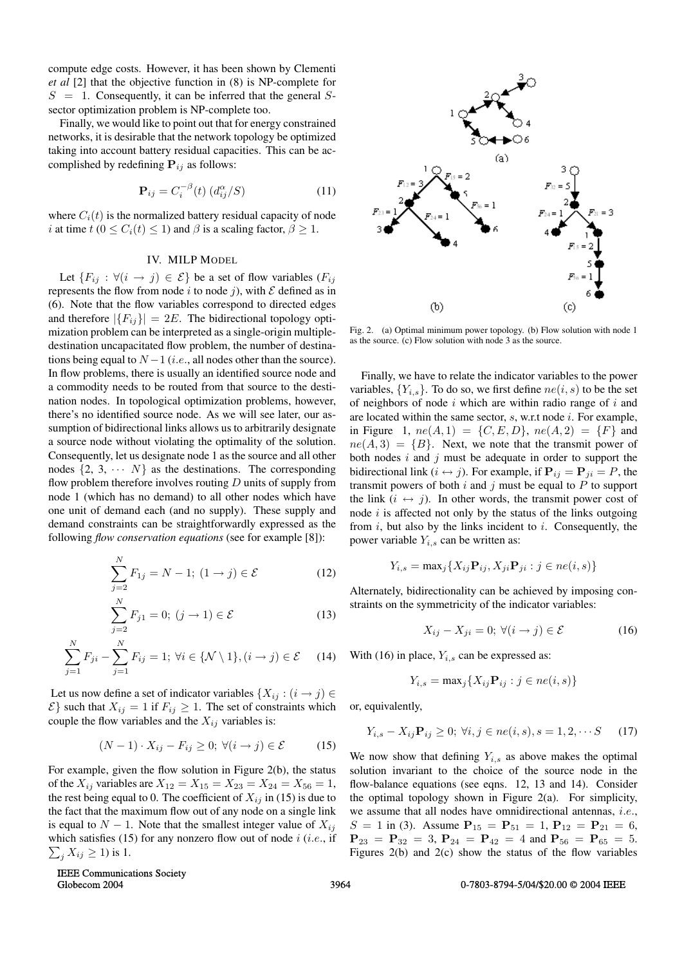compute edge costs. However, it has been shown by Clementi *et al* [2] that the objective function in (8) is NP-complete for  $S = 1$ . Consequently, it can be inferred that the general Ssector optimization problem is NP-complete too.

Finally, we would like to point out that for energy constrained networks, it is desirable that the network topology be optimized taking into account battery residual capacities. This can be accomplished by redefining  $P_{ij}$  as follows:

$$
\mathbf{P}_{ij} = C_i^{-\beta}(t) \left( d_{ij}^{\alpha}/S \right) \tag{11}
$$

where  $C_i(t)$  is the normalized battery residual capacity of node *i* at time  $t$  ( $0 \le C_i(t) \le 1$ ) and  $\beta$  is a scaling factor,  $\beta \ge 1$ .

## IV. MILP MODEL

Let  ${F_{ij} : \forall (i \rightarrow j) \in \mathcal{E}}$  be a set of flow variables  $(F_{ij})$ represents the flow from node i to node j), with  $\mathcal E$  defined as in (6). Note that the flow variables correspond to directed edges and therefore  $|\{F_{ij}\}| = 2E$ . The bidirectional topology optimization problem can be interpreted as a single-origin multipledestination uncapacitated flow problem, the number of destinations being equal to  $N-1$  (*i.e.*, all nodes other than the source). In flow problems, there is usually an identified source node and a commodity needs to be routed from that source to the destination nodes. In topological optimization problems, however, there's no identified source node. As we will see later, our assumption of bidirectional links allows us to arbitrarily designate a source node without violating the optimality of the solution. Consequently, let us designate node 1 as the source and all other nodes  $\{2, 3, \cdots, N\}$  as the destinations. The corresponding flow problem therefore involves routing  $D$  units of supply from node 1 (which has no demand) to all other nodes which have one unit of demand each (and no supply). These supply and demand constraints can be straightforwardly expressed as the following *flow conservation equations* (see for example [8]):

$$
\sum_{j=2}^{N} F_{1j} = N - 1; (1 \to j) \in \mathcal{E}
$$
 (12)

$$
\sum_{j=2}^{N} F_{j1} = 0; \ (j \to 1) \in \mathcal{E}
$$
 (13)

$$
\sum_{j=1}^{N} F_{ji} - \sum_{j=1}^{N} F_{ij} = 1; \ \forall i \in \{\mathcal{N} \setminus 1\}, (i \to j) \in \mathcal{E}
$$
 (14)

Let us now define a set of indicator variables  $\{X_{ij} : (i \rightarrow j) \in$  $\mathcal{E}$  such that  $X_{ij} = 1$  if  $F_{ij} \geq 1$ . The set of constraints which couple the flow variables and the  $X_{ij}$  variables is:

$$
(N-1) \cdot X_{ij} - F_{ij} \ge 0; \ \forall (i \to j) \in \mathcal{E} \tag{15}
$$

For example, given the flow solution in Figure 2(b), the status of the  $X_{ij}$  variables are  $X_{12} = X_{15} = X_{23} = X_{24} = X_{56} = 1$ , the rest being equal to 0. The coefficient of  $X_{ij}$  in (15) is due to the fact that the maximum flow out of any node on a single link is equal to  $N - 1$ . Note that the smallest integer value of  $X_{ij}$ which satisfies  $(15)$  for any nonzero flow out of node i (i.e., if  $\sum_j X_{ij} \ge 1$ ) is 1.



Fig. 2. (a) Optimal minimum power topology. (b) Flow solution with node 1 as the source. (c) Flow solution with node 3 as the source.

Finally, we have to relate the indicator variables to the power variables,  ${Y_{i,s}}$ . To do so, we first define  $ne(i, s)$  to be the set of neighbors of node  $i$  which are within radio range of  $i$  and are located within the same sector, s, w.r.t node i. For example, in Figure 1,  $ne(A, 1) = \{C, E, D\}$ ,  $ne(A, 2) = \{F\}$  and  $ne(A, 3) = {B}$ . Next, we note that the transmit power of both nodes  $i$  and  $j$  must be adequate in order to support the bidirectional link  $(i \leftrightarrow j)$ . For example, if  $P_{ij} = P_{ji} = P$ , the transmit powers of both  $i$  and  $j$  must be equal to  $P$  to support the link  $(i \leftrightarrow j)$ . In other words, the transmit power cost of node  $i$  is affected not only by the status of the links outgoing from  $i$ , but also by the links incident to  $i$ . Consequently, the power variable  $Y_{i,s}$  can be written as:

$$
Y_{i,s} = \max_j \{ X_{ij} \mathbf{P}_{ij}, X_{ji} \mathbf{P}_{ji} : j \in ne(i, s) \}
$$

Alternately, bidirectionality can be achieved by imposing constraints on the symmetricity of the indicator variables:

$$
X_{ij} - X_{ji} = 0; \ \forall (i \to j) \in \mathcal{E} \tag{16}
$$

With (16) in place,  $Y_{i,s}$  can be expressed as:

$$
Y_{i,s} = \max_j \{ X_{ij} \mathbf{P}_{ij} : j \in ne(i, s) \}
$$

or, equivalently,

$$
Y_{i,s} - X_{ij} \mathbf{P}_{ij} \ge 0; \ \forall i, j \in ne(i, s), s = 1, 2, \cdots S \tag{17}
$$

We now show that defining  $Y_{i,s}$  as above makes the optimal solution invariant to the choice of the source node in the flow-balance equations (see eqns. 12, 13 and 14). Consider the optimal topology shown in Figure 2(a). For simplicity, we assume that all nodes have omnidirectional antennas, i.e.,  $S = 1$  in (3). Assume  $P_{15} = P_{51} = 1$ ,  $P_{12} = P_{21} = 6$ ,  $P_{23} = P_{32} = 3$ ,  $P_{24} = P_{42} = 4$  and  $P_{56} = P_{65} = 5$ . Figures 2(b) and 2(c) show the status of the flow variables

#### Globecom 2004 3964 0-7803-8794-5/04/\$20.00 © 2004 IEEE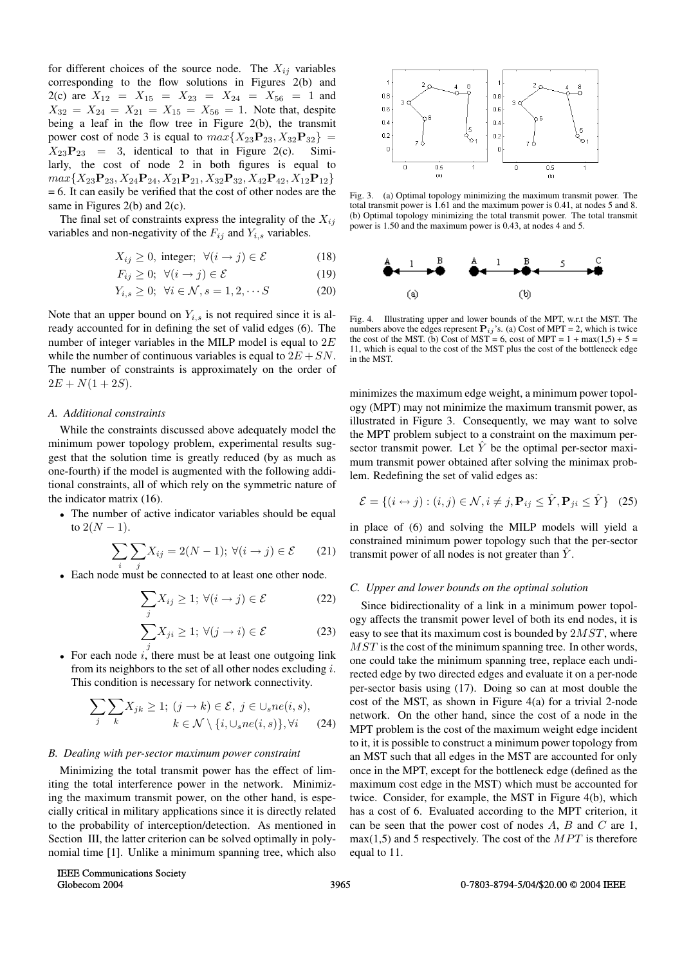for different choices of the source node. The  $X_{ij}$  variables corresponding to the flow solutions in Figures 2(b) and 2(c) are  $X_{12} = X_{15} = X_{23} = X_{24} = X_{56} = 1$  and  $X_{32} = X_{24} = X_{21} = X_{15} = X_{56} = 1$ . Note that, despite being a leaf in the flow tree in Figure 2(b), the transmit power cost of node 3 is equal to  $max\{X_{23}P_{23}, X_{32}P_{32}\}$  =  $X_{23}P_{23} = 3$ , identical to that in Figure 2(c). Similarly, the cost of node 2 in both figures is equal to max{X23**P**23, X24**P**24, X21**P**21, X32**P**32, X42**P**42, X12**P**12} = 6. It can easily be verified that the cost of other nodes are the same in Figures 2(b) and 2(c).

The final set of constraints express the integrality of the  $X_{ij}$ variables and non-negativity of the  $F_{ij}$  and  $Y_{i,s}$  variables.

$$
X_{ij} \ge 0, \text{ integer}; \ \forall (i \to j) \in \mathcal{E} \tag{18}
$$

$$
F_{ij} \ge 0; \ \forall (i \to j) \in \mathcal{E} \tag{19}
$$

$$
Y_{i,s} \ge 0; \ \forall i \in \mathcal{N}, s = 1, 2, \cdots S \tag{20}
$$

Note that an upper bound on  $Y_{i,s}$  is not required since it is already accounted for in defining the set of valid edges (6). The number of integer variables in the MILP model is equal to  $2E$ while the number of continuous variables is equal to  $2E + SN$ . The number of constraints is approximately on the order of  $2E + N(1 + 2S)$ .

## *A. Additional constraints*

While the constraints discussed above adequately model the minimum power topology problem, experimental results suggest that the solution time is greatly reduced (by as much as one-fourth) if the model is augmented with the following additional constraints, all of which rely on the symmetric nature of the indicator matrix (16).

• The number of active indicator variables should be equal to  $2(N - 1)$ .

$$
\sum_{i} \sum_{j} X_{ij} = 2(N-1); \ \forall (i \to j) \in \mathcal{E} \tag{21}
$$

• Each node must be connected to at least one other node.

$$
\sum_{j} X_{ij} \ge 1; \ \forall (i \to j) \in \mathcal{E} \tag{22}
$$

$$
\sum_{i} X_{ji} \ge 1; \ \forall (j \to i) \in \mathcal{E} \tag{23}
$$

• For each node  $i$ , there must be at least one outgoing link from its neighbors to the set of all other nodes excluding i. This condition is necessary for network connectivity.

$$
\sum_{j} \sum_{k} X_{jk} \ge 1; (j \to k) \in \mathcal{E}, j \in \bigcup_{s} ne(i, s),
$$
  

$$
k \in \mathcal{N} \setminus \{i, \bigcup_{s} ne(i, s)\}, \forall i \qquad (24)
$$

#### *B. Dealing with per-sector maximum power constraint*

Minimizing the total transmit power has the effect of limiting the total interference power in the network. Minimizing the maximum transmit power, on the other hand, is especially critical in military applications since it is directly related to the probability of interception/detection. As mentioned in Section III, the latter criterion can be solved optimally in polynomial time [1]. Unlike a minimum spanning tree, which also



Fig. 3. (a) Optimal topology minimizing the maximum transmit power. The total transmit power is 1.61 and the maximum power is 0.41, at nodes 5 and 8. (b) Optimal topology minimizing the total transmit power. The total transmit power is 1.50 and the maximum power is 0.43, at nodes 4 and 5.



Fig. 4. Illustrating upper and lower bounds of the MPT, w.r.t the MST. The numbers above the edges represent  $P_{ij}$ 's. (a) Cost of MPT = 2, which is twice the cost of the MST. (b) Cost of MST = 6, cost of MPT =  $1 + max(1.5) + 5 =$ 11, which is equal to the cost of the MST plus the cost of the bottleneck edge in the MST.

minimizes the maximum edge weight, a minimum power topology (MPT) may not minimize the maximum transmit power, as illustrated in Figure 3. Consequently, we may want to solve the MPT problem subject to a constraint on the maximum persector transmit power. Let  $\hat{Y}$  be the optimal per-sector maximum transmit power obtained after solving the minimax problem. Redefining the set of valid edges as:

$$
\mathcal{E} = \{ (i \leftrightarrow j) : (i, j) \in \mathcal{N}, i \neq j, \mathbf{P}_{ij} \leq \hat{Y}, \mathbf{P}_{ji} \leq \hat{Y} \} \quad (25)
$$

in place of (6) and solving the MILP models will yield a constrained minimum power topology such that the per-sector transmit power of all nodes is not greater than  $Y$ .

#### *C. Upper and lower bounds on the optimal solution*

Since bidirectionality of a link in a minimum power topology affects the transmit power level of both its end nodes, it is easy to see that its maximum cost is bounded by  $2MST$ , where MST is the cost of the minimum spanning tree. In other words, one could take the minimum spanning tree, replace each undirected edge by two directed edges and evaluate it on a per-node per-sector basis using (17). Doing so can at most double the cost of the MST, as shown in Figure 4(a) for a trivial 2-node network. On the other hand, since the cost of a node in the MPT problem is the cost of the maximum weight edge incident to it, it is possible to construct a minimum power topology from an MST such that all edges in the MST are accounted for only once in the MPT, except for the bottleneck edge (defined as the maximum cost edge in the MST) which must be accounted for twice. Consider, for example, the MST in Figure 4(b), which has a cost of 6. Evaluated according to the MPT criterion, it can be seen that the power cost of nodes  $A$ ,  $B$  and  $C$  are 1,  $max(1,5)$  and 5 respectively. The cost of the  $MPT$  is therefore equal to 11.

IEEE Communications Society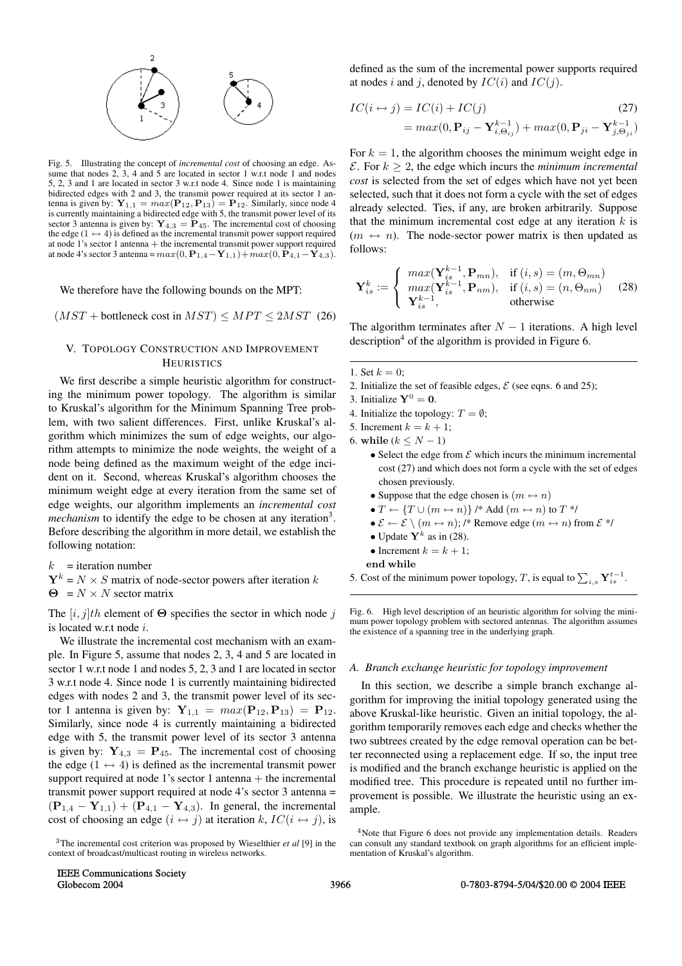

Fig. 5. Illustrating the concept of *incremental cost* of choosing an edge. Assume that nodes  $2$ ,  $3$ ,  $4$  and  $5$  are located in sector 1 w.r.t node 1 and nodes 5, 2, 3 and 1 are located in sector 3 w.r.t node 4. Since node 1 is maintaining bidirected edges with 2 and 3, the transmit power required at its sector 1 antenna is given by:  $\mathbf{Y}_{1,1} = max(\mathbf{P}_{12}, \mathbf{P}_{13}) = \mathbf{P}_{12}$ . Similarly, since node 4 is currently maintaining a bidirected edge with 5, the transmit power level of its sector 3 antenna is given by:  $\mathbf{Y}_{4,3} = \mathbf{P}_{4,5}$ . The incremental cost of choosing the edge  $(1 \leftrightarrow 4)$  is defined as the incremental transmit power support required at node 1's sector 1 antenna + the incremental transmit power support required at node 4's sector 3 antenna =  $max(0, P_{1,4} - Y_{1,1}) + max(0, P_{4,1} - Y_{4,3}).$ 

We therefore have the following bounds on the MPT:

$$
(MST + \text{bottleneck cost in } MST) \le MPT \le 2MST
$$
 (26)

## V. TOPOLOGY CONSTRUCTION AND IMPROVEMENT **HEURISTICS**

We first describe a simple heuristic algorithm for constructing the minimum power topology. The algorithm is similar to Kruskal's algorithm for the Minimum Spanning Tree problem, with two salient differences. First, unlike Kruskal's algorithm which minimizes the sum of edge weights, our algorithm attempts to minimize the node weights, the weight of a node being defined as the maximum weight of the edge incident on it. Second, whereas Kruskal's algorithm chooses the minimum weight edge at every iteration from the same set of edge weights, our algorithm implements an *incremental cost mechanism* to identify the edge to be chosen at any iteration<sup>3</sup>. Before describing the algorithm in more detail, we establish the following notation:

 $k =$ iteration number

 $Y^k = N \times S$  matrix of node-sector powers after iteration k

 $\Theta = N \times N$  sector matrix

The  $[i, j]$ th element of  $\Theta$  specifies the sector in which node j is located w.r.t node i.

We illustrate the incremental cost mechanism with an example. In Figure 5, assume that nodes 2, 3, 4 and 5 are located in sector 1 w.r.t node 1 and nodes 5, 2, 3 and 1 are located in sector 3 w.r.t node 4. Since node 1 is currently maintaining bidirected edges with nodes 2 and 3, the transmit power level of its sector 1 antenna is given by:  $Y_{1,1} = max(P_{12}, P_{13}) = P_{12}$ . Similarly, since node 4 is currently maintaining a bidirected edge with 5, the transmit power level of its sector 3 antenna is given by:  $Y_{4,3} = P_{45}$ . The incremental cost of choosing the edge  $(1 \leftrightarrow 4)$  is defined as the incremental transmit power support required at node 1's sector 1 antenna  $+$  the incremental transmit power support required at node 4's sector 3 antenna =  $({\bf P}_{1,4} - {\bf Y}_{1,1}) + ({\bf P}_{4,1} - {\bf Y}_{4,3})$ . In general, the incremental cost of choosing an edge  $(i \leftrightarrow j)$  at iteration k,  $IC(i \leftrightarrow j)$ , is defined as the sum of the incremental power supports required at nodes i and j, denoted by  $IC(i)$  and  $IC(j)$ .

$$
IC(i \leftrightarrow j) = IC(i) + IC(j)
$$
\n
$$
= max(0, \mathbf{P}_{ij} - \mathbf{Y}_{i, \Theta_{ij}}^{k-1}) + max(0, \mathbf{P}_{ji} - \mathbf{Y}_{j, \Theta_{ji}}^{k-1})
$$
\n(27)

For  $k = 1$ , the algorithm chooses the minimum weight edge in E. For  $k \geq 2$ , the edge which incurs the *minimum incremental cost* is selected from the set of edges which have not yet been selected, such that it does not form a cycle with the set of edges already selected. Ties, if any, are broken arbitrarily. Suppose that the minimum incremental cost edge at any iteration  $k$  is  $(m \leftrightarrow n)$ . The node-sector power matrix is then updated as follows:

$$
\mathbf{Y}_{is}^{k} := \begin{cases} \max(\mathbf{Y}_{is}^{k-1}, \mathbf{P}_{mn}), & \text{if } (i, s) = (m, \Theta_{mn})\\ \max(\mathbf{Y}_{is}^{k-1}, \mathbf{P}_{nm}), & \text{if } (i, s) = (n, \Theta_{nm})\\ \mathbf{Y}_{is}^{k-1}, & \text{otherwise} \end{cases}
$$
(28)

The algorithm terminates after  $N - 1$  iterations. A high level description<sup>4</sup> of the algorithm is provided in Figure 6.

- 1. Set  $k = 0$ ;
- 2. Initialize the set of feasible edges,  $\mathcal E$  (see eqns. 6 and 25);
- 3. Initialize  $Y^0 = 0$ .
- 4. Initialize the topology:  $T = \emptyset$ ;
- 5. Increment  $k = k + 1$ ;
- 6. while  $(k < N 1)$ 
	- Select the edge from  $\mathcal E$  which incurs the minimum incremental cost (27) and which does not form a cycle with the set of edges chosen previously.
	- Suppose that the edge chosen is  $(m \leftrightarrow n)$
	- $T \leftarrow \{T \cup (m \leftrightarrow n)\}$  /\* Add  $(m \leftrightarrow n)$  to  $T \cdot \mathbb{Z}$
	- $\mathcal{E} \leftarrow \mathcal{E} \setminus (m \leftrightarrow n);$  /\* Remove edge  $(m \leftrightarrow n)$  from  $\mathcal{E}$  \*/
	- Update  $Y^k$  as in (28).
	- Increment  $k = k + 1$ ;

**end while**

5. Cost of the minimum power topology, *T*, is equal to  $\sum_{i,s} \mathbf{Y}_{is}^{t-1}$ .

Fig. 6. High level description of an heuristic algorithm for solving the minimum power topology problem with sectored antennas. The algorithm assumes the existence of a spanning tree in the underlying graph.

### *A. Branch exchange heuristic for topology improvement*

In this section, we describe a simple branch exchange algorithm for improving the initial topology generated using the above Kruskal-like heuristic. Given an initial topology, the algorithm temporarily removes each edge and checks whether the two subtrees created by the edge removal operation can be better reconnected using a replacement edge. If so, the input tree is modified and the branch exchange heuristic is applied on the modified tree. This procedure is repeated until no further improvement is possible. We illustrate the heuristic using an example.

<sup>3</sup>The incremental cost criterion was proposed by Wieselthier *et al* [9] in the context of broadcast/multicast routing in wireless networks.

<sup>&</sup>lt;sup>4</sup>Note that Figure 6 does not provide any implementation details. Readers can consult any standard textbook on graph algorithms for an efficient implementation of Kruskal's algorithm.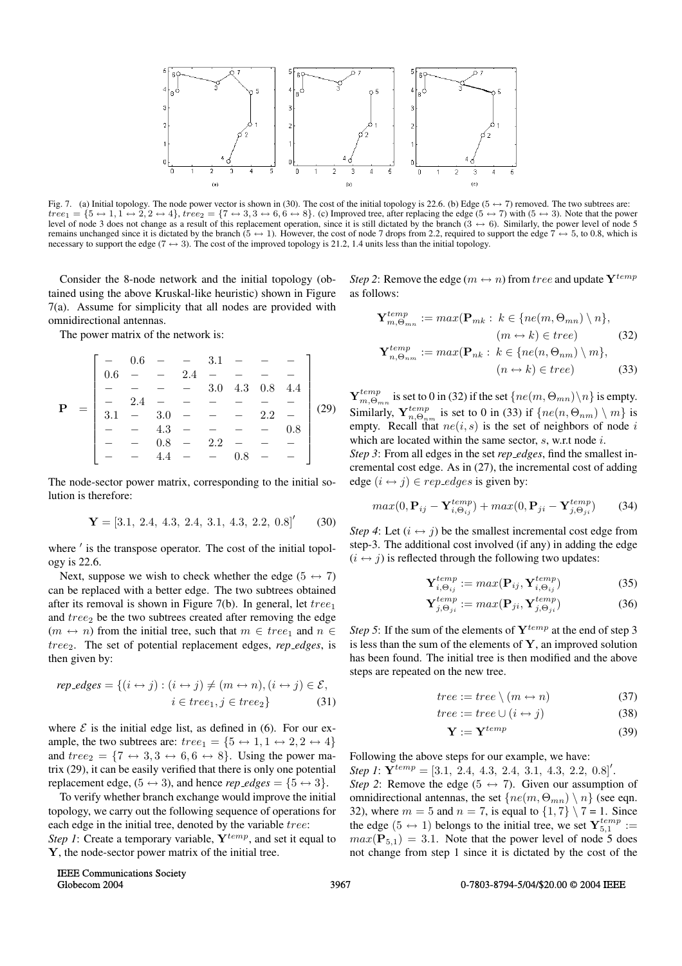

Fig. 7. (a) Initial topology. The node power vector is shown in (30). The cost of the initial topology is 22.6. (b) Edge ( $5 \leftrightarrow 7$ ) removed. The two subtrees are:  $tree_1 = \{5 \leftrightarrow 1, 1 \leftrightarrow 2, 2 \leftrightarrow 4\}$ ,  $tree_2 = \{7 \leftrightarrow 3, 3 \leftrightarrow 6, 6 \leftrightarrow 8\}$ . (c) Improved tree, after replacing the edge ( $5 \leftrightarrow 7$ ) with ( $5 \leftrightarrow 3$ ). Note that the power level of node 3 does not change as a result of this replacement operation, since it is still dictated by the branch (3  $\leftrightarrow$  6). Similarly, the power level of node 5 remains unchanged since it is dictated by the branch ( $5 \leftrightarrow 1$ ). However, the cost of node 7 drops from 2.2, required to support the edge  $7 \leftrightarrow 5$ , to 0.8, which is necessary to support the edge ( $7 \leftrightarrow 3$ ). The cost of the improved topology is 21.2, 1.4 units less than the initial topology.

Consider the 8-node network and the initial topology (obtained using the above Kruskal-like heuristic) shown in Figure 7(a). Assume for simplicity that all nodes are provided with omnidirectional antennas.

The power matrix of the network is:

$$
\mathbf{P} = \begin{bmatrix} - & 0.6 & - & - & 3.1 & - & - & - \\ 0.6 & - & - & 2.4 & - & - & - & - \\ - & - & - & - & 3.0 & 4.3 & 0.8 & 4.4 \\ - & 2.4 & - & - & - & - & - & - \\ 3.1 & - & 3.0 & - & - & - & - & - \\ - & - & 4.3 & - & - & - & - & 0.8 \\ - & - & 0.8 & - & 2.2 & - & - & - \\ - & - & 4.4 & - & - & 0.8 & - & - \end{bmatrix} (29)
$$

The node-sector power matrix, corresponding to the initial solution is therefore:

$$
\mathbf{Y} = [3.1, 2.4, 4.3, 2.4, 3.1, 4.3, 2.2, 0.8]'
$$
 (30)

where  $\prime$  is the transpose operator. The cost of the initial topology is 22.6.

Next, suppose we wish to check whether the edge ( $5 \leftrightarrow 7$ ) can be replaced with a better edge. The two subtrees obtained after its removal is shown in Figure 7(b). In general, let  $tree_1$ and  $tree<sub>2</sub>$  be the two subtrees created after removing the edge  $(m \leftrightarrow n)$  from the initial tree, such that  $m \in tree_1$  and  $n \in$ tree2. The set of potential replacement edges, *rep edges*, is then given by:

$$
rep\_edges = \{ (i \leftrightarrow j) : (i \leftrightarrow j) \neq (m \leftrightarrow n), (i \leftrightarrow j) \in \mathcal{E},
$$

$$
i \in tree_1, j \in tree_2 \}
$$
(31)

where  $\mathcal E$  is the initial edge list, as defined in (6). For our example, the two subtrees are:  $tree_1 = \{5 \leftrightarrow 1, 1 \leftrightarrow 2, 2 \leftrightarrow 4\}$ and  $tree_2 = \{7 \leftrightarrow 3, 3 \leftrightarrow 6, 6 \leftrightarrow 8\}$ . Using the power matrix (29), it can be easily verified that there is only one potential replacement edge,  $(5 \leftrightarrow 3)$ , and hence *rep\_edges* =  $\{5 \leftrightarrow 3\}$ .

To verify whether branch exchange would improve the initial topology, we carry out the following sequence of operations for each edge in the initial tree, denoted by the variable tree: *Step 1*: Create a temporary variable,  $\mathbf{Y}^{temp}$ , and set it equal to **Y**, the node-sector power matrix of the initial tree.

*Step 2*: Remove the edge  $(m \leftrightarrow n)$  from tree and update  $\mathbf{Y}^{temp}$ as follows:

$$
\mathbf{Y}_{m,\Theta_{mn}}^{temp} := max(\mathbf{P}_{mk} : k \in \{ne(m,\Theta_{mn}) \setminus n\},
$$
  
\n
$$
(m \leftrightarrow k) \in tree)
$$
 (32)  
\n
$$
\mathbf{Y}_{n,\Theta_{nm}}^{temp} := max(\mathbf{P}_{nk} : k \in \{ne(n,\Theta_{nm}) \setminus m\},
$$
  
\n
$$
(n \leftrightarrow k) \in tree)
$$
 (33)

 $\mathbf{Y}_{m,\Theta_{mn}}^{temp}$  is set to 0 in (32) if the set  $\{ne(m,\Theta_{mn})\backslash n\}$  is empty. Similarly,  $\mathbf{Y}_{n,\Theta_{nm}}^{temp}$  is set to 0 in (33) if  $\{ne(n,\Theta_{nm}) \setminus m\}$  is empty. Recall that  $ne(i, s)$  is the set of neighbors of node i which are located within the same sector, s, w.r.t node i.

*Step 3*: From all edges in the set *rep edges*, find the smallest incremental cost edge. As in (27), the incremental cost of adding edge  $(i \leftrightarrow j) \in rep$  edges is given by:

$$
max(0, \mathbf{P}_{ij} - \mathbf{Y}_{i, \Theta_{ij}}^{temp}) + max(0, \mathbf{P}_{ji} - \mathbf{Y}_{j, \Theta_{ji}}^{temp})
$$
 (34)

*Step 4*: Let  $(i \leftrightarrow j)$  be the smallest incremental cost edge from step-3. The additional cost involved (if any) in adding the edge  $(i \leftrightarrow j)$  is reflected through the following two updates:

$$
\mathbf{Y}_{i,\Theta_{ij}}^{temp} := max(\mathbf{P}_{ij}, \mathbf{Y}_{i,\Theta_{ij}}^{temp})
$$
(35)

$$
\mathbf{Y}_{j,\Theta_{ji}}^{temp} := max(\mathbf{P}_{ji}, \mathbf{Y}_{j,\Theta_{ji}}^{temp})
$$
 (36)

*Step 5*: If the sum of the elements of  $\mathbf{Y}^{temp}$  at the end of step 3 is less than the sum of the elements of **Y**, an improved solution has been found. The initial tree is then modified and the above steps are repeated on the new tree.

$$
tree := tree \setminus (m \leftrightarrow n) \tag{37}
$$

$$
tree := tree \cup (i \leftrightarrow j) \tag{38}
$$

$$
\mathbf{Y} := \mathbf{Y}^{temp} \tag{39}
$$

Following the above steps for our example, we have:

*Step 1*:  $\mathbf{Y}^{temp} = \begin{bmatrix} 3.1, 2.4, 4.3, 2.4, 3.1, 4.3, 2.2, 0.8 \end{bmatrix}$ . *Step 2*: Remove the edge ( $5 \leftrightarrow 7$ ). Given our assumption of omnidirectional antennas, the set  $\{ne(m,\Theta_{mn}) \setminus n\}$  (see eqn. 32), where  $m = 5$  and  $n = 7$ , is equal to  $\{1, 7\} \setminus 7 = 1$ . Since the edge ( $5 \leftrightarrow 1$ ) belongs to the initial tree, we set  $\mathbf{Y}_{5,1}^{temp} :=$  $max(\mathbf{P}_{5,1})=3.1$ . Note that the power level of node 5 does not change from step 1 since it is dictated by the cost of the

IEEE Communications Society

## Globecom 2004 3967 0-7803-8794-5/04/\$20.00 © 2004 IEEE